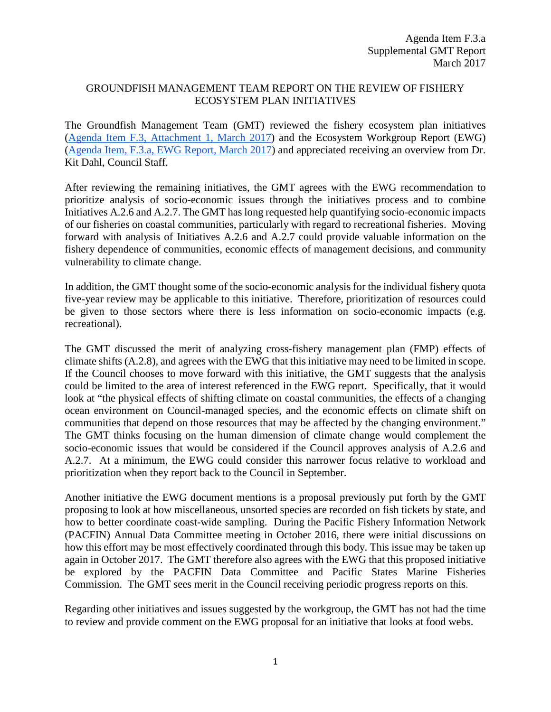## GROUNDFISH MANAGEMENT TEAM REPORT ON THE REVIEW OF FISHERY ECOSYSTEM PLAN INITIATIVES

The Groundfish Management Team (GMT) reviewed the fishery ecosystem plan initiatives [\(Agenda Item F.3, Attachment 1, March 2017\)](http://www.pcouncil.org/wp-content/uploads/2017/02/F3_Att1_FEP_Initiatives_Appendix_post_03_15_Mar2017BB.pdf) and the Ecosystem Workgroup Report (EWG) [\(Agenda Item, F.3.a, EWG Report, March 2017\)](http://www.pcouncil.org/wp-content/uploads/2017/02/F3a_EWG_Rpt_Mar2017BB.pdf) and appreciated receiving an overview from Dr. Kit Dahl, Council Staff.

After reviewing the remaining initiatives, the GMT agrees with the EWG recommendation to prioritize analysis of socio-economic issues through the initiatives process and to combine Initiatives A.2.6 and A.2.7. The GMT has long requested help quantifying socio-economic impacts of our fisheries on coastal communities, particularly with regard to recreational fisheries. Moving forward with analysis of Initiatives A.2.6 and A.2.7 could provide valuable information on the fishery dependence of communities, economic effects of management decisions, and community vulnerability to climate change.

In addition, the GMT thought some of the socio-economic analysis for the individual fishery quota five-year review may be applicable to this initiative. Therefore, prioritization of resources could be given to those sectors where there is less information on socio-economic impacts (e.g. recreational).

The GMT discussed the merit of analyzing cross-fishery management plan (FMP) effects of climate shifts (A.2.8), and agrees with the EWG that this initiative may need to be limited in scope. If the Council chooses to move forward with this initiative, the GMT suggests that the analysis could be limited to the area of interest referenced in the EWG report. Specifically, that it would look at "the physical effects of shifting climate on coastal communities, the effects of a changing ocean environment on Council-managed species, and the economic effects on climate shift on communities that depend on those resources that may be affected by the changing environment." The GMT thinks focusing on the human dimension of climate change would complement the socio-economic issues that would be considered if the Council approves analysis of A.2.6 and A.2.7. At a minimum, the EWG could consider this narrower focus relative to workload and prioritization when they report back to the Council in September.

Another initiative the EWG document mentions is a proposal previously put forth by the GMT proposing to look at how miscellaneous, unsorted species are recorded on fish tickets by state, and how to better coordinate coast-wide sampling. During the Pacific Fishery Information Network (PACFIN) Annual Data Committee meeting in October 2016, there were initial discussions on how this effort may be most effectively coordinated through this body. This issue may be taken up again in October 2017. The GMT therefore also agrees with the EWG that this proposed initiative be explored by the PACFIN Data Committee and Pacific States Marine Fisheries Commission. The GMT sees merit in the Council receiving periodic progress reports on this.

Regarding other initiatives and issues suggested by the workgroup, the GMT has not had the time to review and provide comment on the EWG proposal for an initiative that looks at food webs.